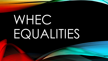# WHEC EQUALITIES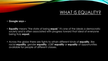## WHAT IS EQUALITY?

- **Google says –**
- **Equality** means "the state of being **equal**." It's one of the ideals a democratic society and is often associated with progress toward that ideal of everyone being truly **equal.**
- Across the globe there are fights to attain different kinds of **equality**, like racial **equality**, gender **equality**, LGBT **equality** or **equality** of opportunities available for people of different classes.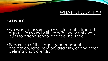## WHAT IS EQUALITY?

#### • **At WHEC…**

- We want to ensure every single pupil is treated equally, fairly and with respect. We want every pupil to attend school and feel included.
- Regardless of their age, gender, sexual orientation, race, religion, disability, or any other defining characteristic.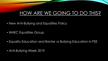## HOW ARE WE GOING TO DO THIS?

- New Anti-Bullying and Equalities Policy
- WHEC Equalities Group
- Equality Education and Banter vs Bullying Education in PSE
- Anti-Bullying Week 2019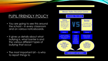#### PUPIL FRIENDLY POLICY

- You are going to see this around the school – in every classroom and on various noticeboards.
- It gives us details about what bullying is, what banter is and the various different types of bullying that occur
- The most important bit is who to report things to

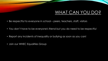## WHAT CAN YOU DO?

- Be respectful to everyone in school peers, teachers, staff, visitors
- You don't have to be everyone's friend but you do need to be respectful
- Report any incidents of inequality or bullying as soon as you can!
- Join our WHEC Equalities Group